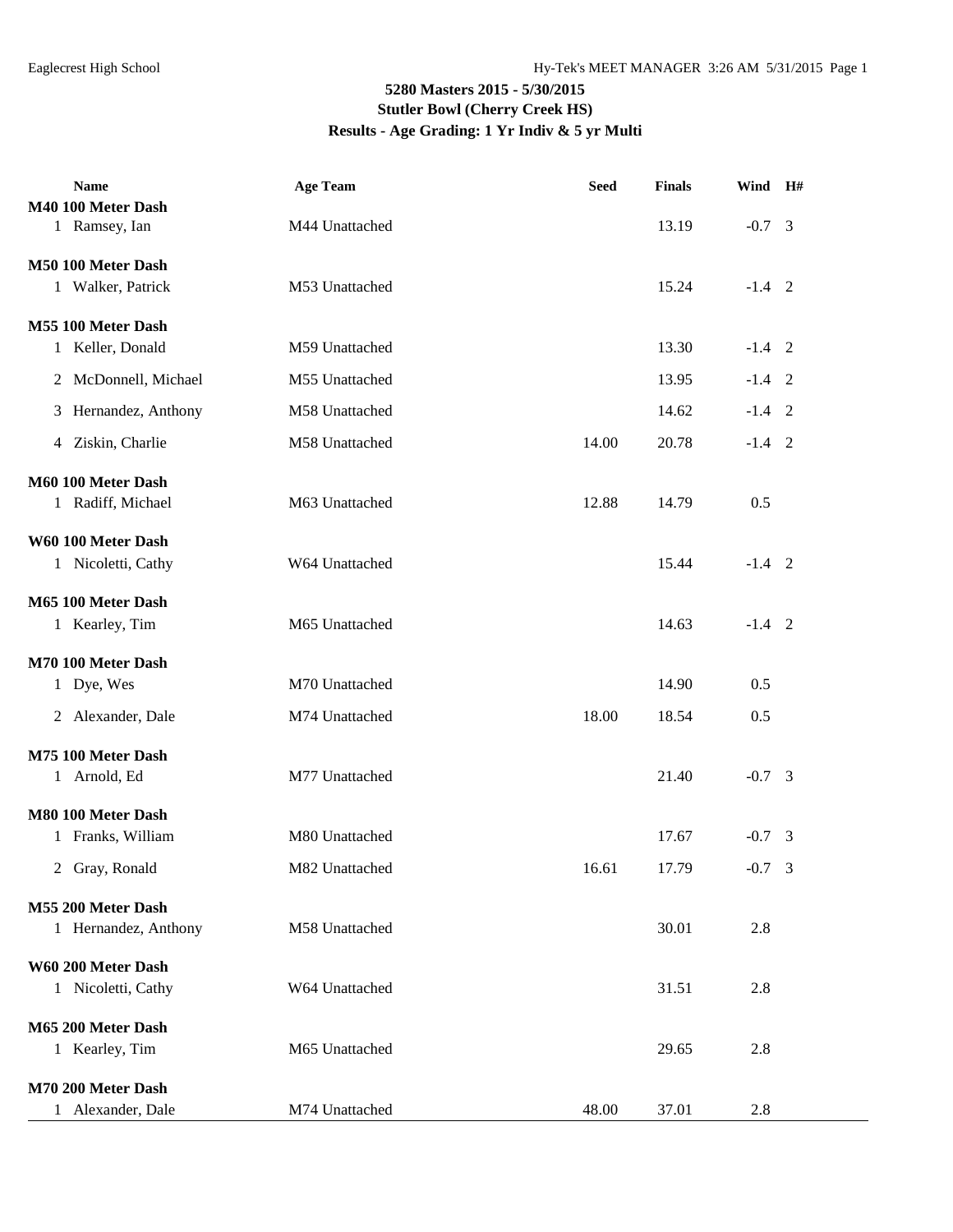## **5280 Masters 2015 - 5/30/2015 Stutler Bowl (Cherry Creek HS) Results - Age Grading: 1 Yr Indiv & 5 yr Multi**

| <b>Name</b>             | <b>Age Team</b> | <b>Seed</b> | <b>Finals</b> | Wind H#  |  |
|-------------------------|-----------------|-------------|---------------|----------|--|
| M40 100 Meter Dash      |                 |             |               |          |  |
| 1 Ramsey, Ian           | M44 Unattached  |             | 13.19         | $-0.7$ 3 |  |
| M50 100 Meter Dash      |                 |             |               |          |  |
| 1 Walker, Patrick       | M53 Unattached  |             | 15.24         | $-1.4$ 2 |  |
|                         |                 |             |               |          |  |
| M55 100 Meter Dash      |                 |             |               |          |  |
| 1 Keller, Donald        | M59 Unattached  |             | 13.30         | $-1.4$ 2 |  |
| McDonnell, Michael<br>2 | M55 Unattached  |             | 13.95         | $-1.4$ 2 |  |
| 3 Hernandez, Anthony    | M58 Unattached  |             | 14.62         | $-1.4$ 2 |  |
| 4 Ziskin, Charlie       | M58 Unattached  | 14.00       | 20.78         | $-1.4$ 2 |  |
| M60 100 Meter Dash      |                 |             |               |          |  |
| 1 Radiff, Michael       | M63 Unattached  | 12.88       | 14.79         | 0.5      |  |
|                         |                 |             |               |          |  |
| W60 100 Meter Dash      |                 |             |               |          |  |
| 1 Nicoletti, Cathy      | W64 Unattached  |             | 15.44         | $-1.4$ 2 |  |
| M65 100 Meter Dash      |                 |             |               |          |  |
| 1 Kearley, Tim          | M65 Unattached  |             | 14.63         | $-1.4$ 2 |  |
|                         |                 |             |               |          |  |
| M70 100 Meter Dash      |                 |             |               |          |  |
| 1 Dye, Wes              | M70 Unattached  |             | 14.90         | 0.5      |  |
| 2 Alexander, Dale       | M74 Unattached  | 18.00       | 18.54         | 0.5      |  |
| M75 100 Meter Dash      |                 |             |               |          |  |
| 1 Arnold, Ed            | M77 Unattached  |             | 21.40         | $-0.7$ 3 |  |
|                         |                 |             |               |          |  |
| M80 100 Meter Dash      |                 |             |               |          |  |
| 1 Franks, William       | M80 Unattached  |             | 17.67         | $-0.7$ 3 |  |
| 2 Gray, Ronald          | M82 Unattached  | 16.61       | 17.79         | $-0.7$ 3 |  |
| M55 200 Meter Dash      |                 |             |               |          |  |
| 1 Hernandez, Anthony    | M58 Unattached  |             | 30.01         | 2.8      |  |
|                         |                 |             |               |          |  |
| W60 200 Meter Dash      |                 |             |               |          |  |
| 1 Nicoletti, Cathy      | W64 Unattached  |             | 31.51         | 2.8      |  |
| M65 200 Meter Dash      |                 |             |               |          |  |
| 1 Kearley, Tim          | M65 Unattached  |             | 29.65         | 2.8      |  |
|                         |                 |             |               |          |  |
| M70 200 Meter Dash      |                 |             |               |          |  |
| 1 Alexander, Dale       | M74 Unattached  | 48.00       | 37.01         | 2.8      |  |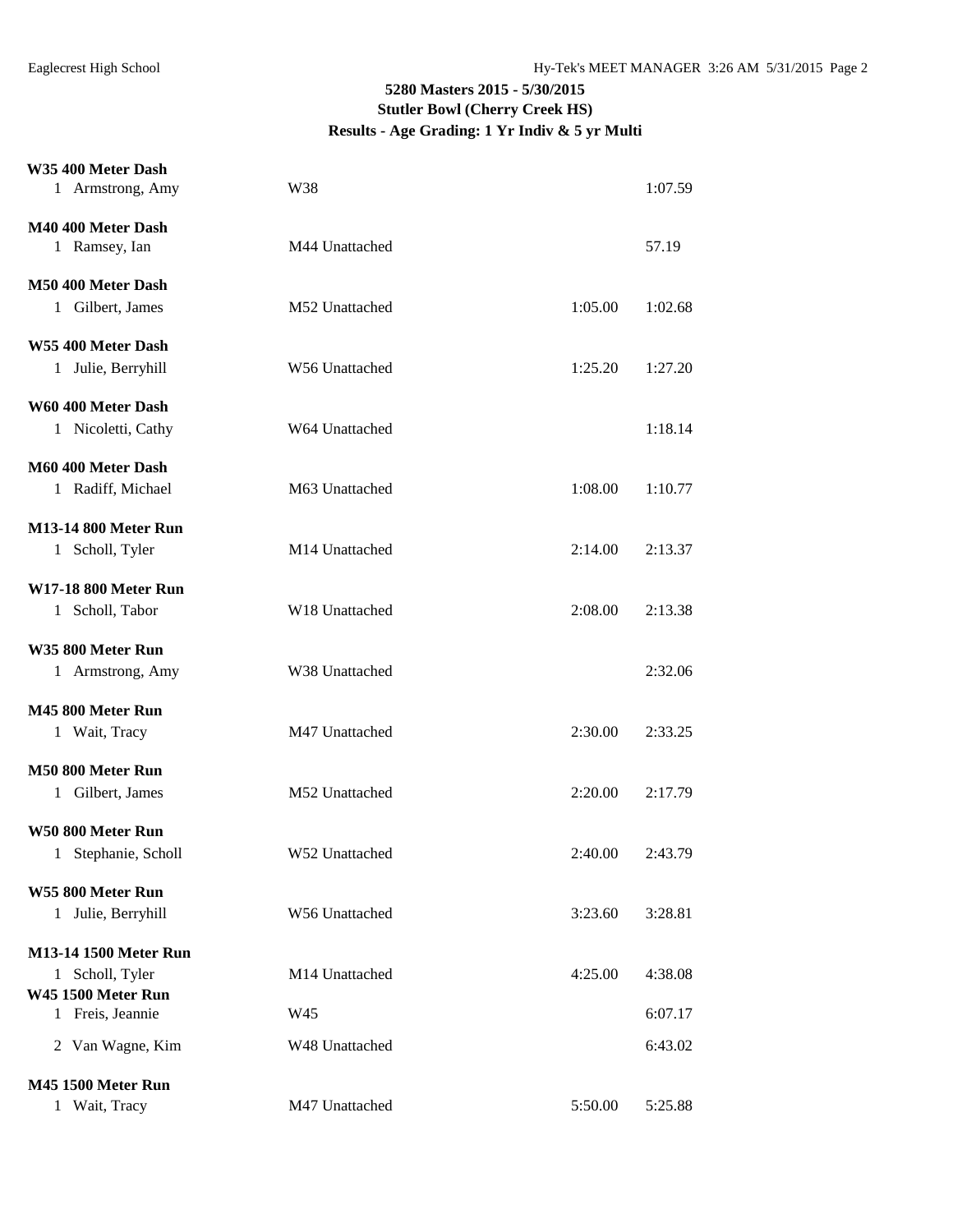## **5280 Masters 2015 - 5/30/2015 Stutler Bowl (Cherry Creek HS) Results - Age Grading: 1 Yr Indiv & 5 yr Multi**

## **W35 400 Meter Dash**

| VVJJ TVV IVICICI <i>Va</i> dii |                |         |         |
|--------------------------------|----------------|---------|---------|
| 1 Armstrong, Amy               | W38            |         | 1:07.59 |
| M40 400 Meter Dash             |                |         |         |
| 1 Ramsey, Ian                  | M44 Unattached |         | 57.19   |
|                                |                |         |         |
| M50 400 Meter Dash             |                |         |         |
| 1 Gilbert, James               | M52 Unattached | 1:05.00 | 1:02.68 |
| W55 400 Meter Dash             |                |         |         |
| 1 Julie, Berryhill             | W56 Unattached | 1:25.20 | 1:27.20 |
|                                |                |         |         |
| W60 400 Meter Dash             |                |         |         |
| 1 Nicoletti, Cathy             | W64 Unattached |         | 1:18.14 |
| M60 400 Meter Dash             |                |         |         |
| 1 Radiff, Michael              | M63 Unattached | 1:08.00 | 1:10.77 |
| <b>M13-14 800 Meter Run</b>    |                |         |         |
| 1 Scholl, Tyler                | M14 Unattached | 2:14.00 | 2:13.37 |
|                                |                |         |         |
| <b>W17-18 800 Meter Run</b>    |                |         |         |
| 1 Scholl, Tabor                | W18 Unattached | 2:08.00 | 2:13.38 |
| W35 800 Meter Run              |                |         |         |
| 1 Armstrong, Amy               | W38 Unattached |         | 2:32.06 |
| M45 800 Meter Run              |                |         |         |
| 1 Wait, Tracy                  | M47 Unattached | 2:30.00 | 2:33.25 |
|                                |                |         |         |
| M50 800 Meter Run              |                |         |         |
| 1 Gilbert, James               | M52 Unattached | 2:20.00 | 2:17.79 |
| W50 800 Meter Run              |                |         |         |
| Stephanie, Scholl<br>1         | W52 Unattached | 2:40.00 | 2:43.79 |
|                                |                |         |         |
| W55 800 Meter Run              |                |         |         |
| 1 Julie, Berryhill             | W56 Unattached | 3:23.60 | 3:28.81 |
| M13-14 1500 Meter Run          |                |         |         |
| 1 Scholl, Tyler                | M14 Unattached | 4:25.00 | 4:38.08 |
| <b>W45 1500 Meter Run</b>      |                |         |         |
| 1 Freis, Jeannie               | W45            |         | 6:07.17 |
| 2 Van Wagne, Kim               | W48 Unattached |         | 6:43.02 |
| <b>M45 1500 Meter Run</b>      |                |         |         |
| 1 Wait, Tracy                  | M47 Unattached | 5:50.00 | 5:25.88 |
|                                |                |         |         |